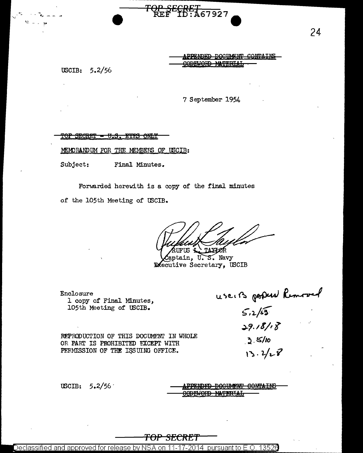

APPENDED DOCUMENT CONTAINS CODEWORD MATERIAL

USCIB:  $5.2/56$ 

7 September 1954

<u> TOP SECRET - U.S. EYFS ONLY</u>

MEMORANDUM FOR THE MEMBERS OF USCIB:

Subject: Final Minutes.

Forwarded herewith is a copy of the final minutes

of the 105th Meeting of USCIB.

TAXIOR FUS

aptain, U.S. Navy **Executive Secretary, USCIB** 

Enclosure l copy of Final Minutes, 105th Meeting of USCIB.

useits popular Remover

REPRODUCTION OF THIS DOCUMENT IN WHOLE OR PART IS PROHIBITED EXCEPT WITH PERMISSION OF THE ISSUING OFFICE.

 $29.18/18$  $2.5/10$ 

 $13.2 / 28$ 

USCIB:  $5.2/56$ 

PPENDED DOCUMENT CONTAINS **EMORD MATERIAL** 

### <del>TOP SECRET</del>

Declassified and approved for release by NSA on 11-17-2014  $\,$  pursuant to E.O. 13526  $\,$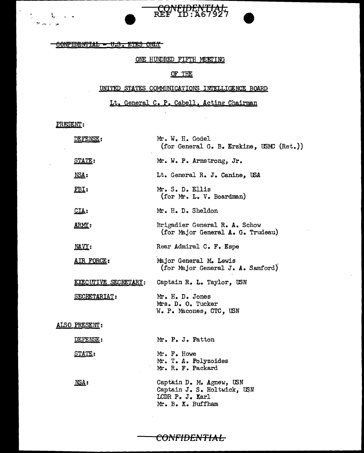OONFIDENTIAL - U.S. EYES ONLY

----------------- - -

#### ONE HUNDRED FIFTH MEETING

CONFIDENTIAL

## OF THE

#### UNITED STATES COMMUNICATIONS INTELLIGENCE BOARD

Lt. General C. P. Cabell. Acting Chairman

PRESENT:

 $\frac{1}{2}$ 

ž, ی د پير چ

| DEFENSE:             | Mr. W. H. Godel<br>(for General G. B. Erskine, USMC (Ret.))                                     |
|----------------------|-------------------------------------------------------------------------------------------------|
| <b>STATE:</b>        | Mr. W. P. Armstrong, Jr.                                                                        |
| NSA:                 | Lt. General R. J. Canine, USA                                                                   |
| FBI:                 | Mr. S. D. Ellis<br>(for Mr. L. V. Boardman)                                                     |
| CIA:                 | Mr. H. D. Sheldon                                                                               |
| <u>ARMY:</u>         | Brigadier General R. A. Schow<br>(for Major General A. G. Trudeau)                              |
| NAVY:                | Rear Admiral C. F. Espe                                                                         |
| AIR FORCE:           | Major General M. Lewis<br>(for Major General J. A. Samford)                                     |
| EXECUTIVE SECRETARY: | Captain R. L. Taylor, USN                                                                       |
| SECRETARIAT:         | Mr. H. D. Jones<br>Mrs. D. O. Tucker<br>W. P. Macones, CTC, USN                                 |
| ALSO PRESENT:        |                                                                                                 |
| <u>DEFENSE</u> :     | Mr. P. J. Patton                                                                                |
| <b>STATE:</b>        | Mr. F. Howe<br>Mr. T. A. Polyzoides<br>Mr. R. F. Packard                                        |
| MSA:                 | Captain D. M. Agnew, USN<br>Captain J. S. Holtwick, USN<br>LCDR P. J. Karl<br>Mr. B. K. Buffham |

CONFIDENTIAL

 $\sim 10$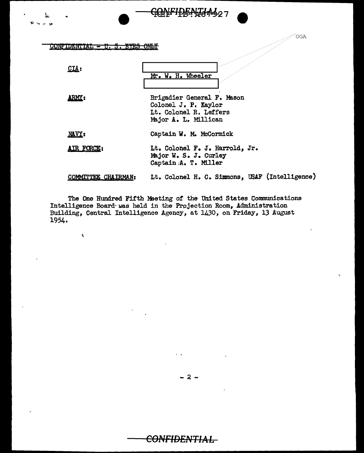# CONFIDENTIAL - U. S. EYES ONLY

 $\pmb{\theta}$ 

| CLA:                | Mr. W. H. Wheeler                                                                                    |
|---------------------|------------------------------------------------------------------------------------------------------|
| ARMY:               | Brigadier General F. Mason<br>Colonel J. P. Kaylor<br>Lt. Colonel R. Leffers<br>Major A. L. Millican |
| NAVY:               | Captain W. M. McCormick                                                                              |
| AIR FORCE:          | Lt. Colonel F. J. Harrold, Jr.<br>Major W. S. J. Curley<br>Captain A. T. Miller                      |
| COMMITTEE CHAIRMAN: | Lt. Colonel H. C. Simmons, USAF (Intelligence)                                                       |

<del>GONFIDENJAA</del>407

**OGA** 

The One Hundred Fifth Meeting of the United States Communications<br>Intelligence Board was held in the Projection Room, Administration<br>Building, Central Intelligence Agency, at 1430, on Friday, 13 August 1954.

<del>CONFIDENTIAL</del>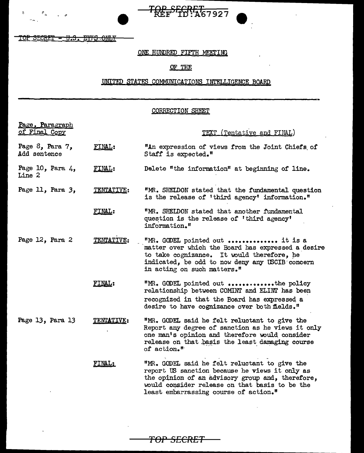TOP SECRET - U.S. EYFS ONLY

 $\ddot{\text{c}}$ 

 $\varepsilon_{_{\alpha}}$  $\sim$ 

## ONE HUNDRED FIFTH MEETING

TOP SEGRET 57927

# OF THE

# UNITED STATES COMMUNICATIONS INTELLIGENCE BOARD

#### CORRECTION SHEET

| Page, Paragraph<br>of Final Copy      |               | TEXT (Tentative and FINAL)                                                                                                                                                                                                                     |
|---------------------------------------|---------------|------------------------------------------------------------------------------------------------------------------------------------------------------------------------------------------------------------------------------------------------|
| Page $8$ , Para $7$ ,<br>Add sentence | FINAL:        | "An expression of views from the Joint Chiefs of<br>Staff is expected."                                                                                                                                                                        |
| Page 10, Para $4$ ,<br>Line 2         | FINAL:        | Delete "the information" at beginning of line.                                                                                                                                                                                                 |
| Page 11, Para 3,                      | TENTATIVE:    | "MR. SHEIDON stated that the fundamental question<br>is the release of 'third agency' information."                                                                                                                                            |
|                                       | FINAL:        | "MR. SHELDON stated that another fundamental<br>question is the release of 'third agency'<br>information."                                                                                                                                     |
| Page 12, Para 2                       | TENTATIVE:    | "MR. GODEL pointed out  it is a<br>matter over which the Board has expressed a desire<br>to take cognizance. It would therefore, he<br>indicated, be odd to now deny any USCIB concern<br>in acting on such matters. <sup><math>n</math></sup> |
|                                       | <b>FINAL:</b> | "MR. GODEL pointed out the policy<br>relationship between COMINT and ELINT has been<br>recognized in that the Board has expressed a<br>desire to have cognizance over both fields."                                                            |
| Page 13, Para 13                      | TENTATIVE:    | "MR. GODEL said he felt reluctant to give the<br>Report any degree of sanction as he views it only<br>one man's opinion and therefore would consider<br>release on that basis the least damaging course<br>of action."                         |
|                                       | FINAL:        | "MR. GODEL said he felt reluctant to give the<br>report US sanction because he views it only as<br>the opinion of an advisory group and, therefore,<br>would consider release on that basis to be the<br>least embarrassing course of action." |

TOP SECRET